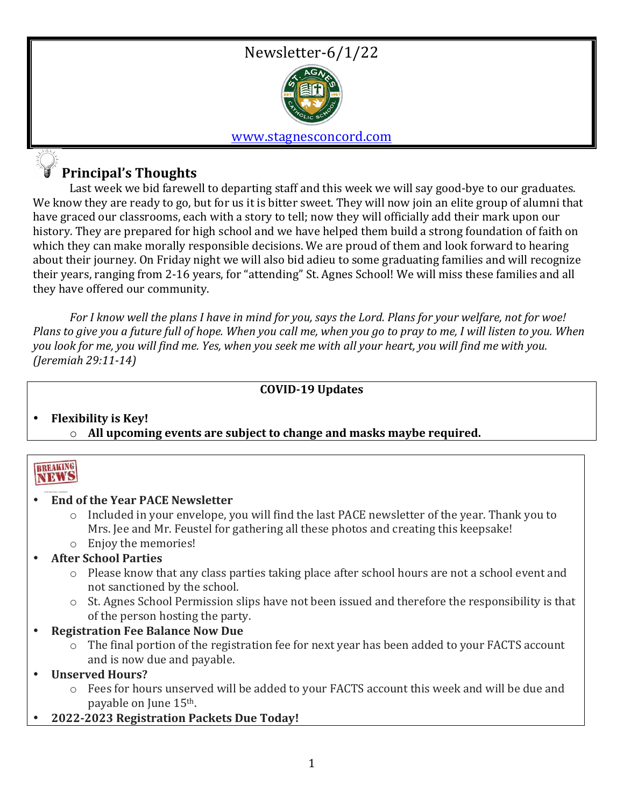### Newsletter-6/1/22



#### www.stagnesconcord.com

### **Principal's Thoughts**

Last week we bid farewell to departing staff and this week we will say good-bye to our graduates. We know they are ready to go, but for us it is bitter sweet. They will now join an elite group of alumni that have graced our classrooms, each with a story to tell; now they will officially add their mark upon our history. They are prepared for high school and we have helped them build a strong foundation of faith on which they can make morally responsible decisions. We are proud of them and look forward to hearing about their journey. On Friday night we will also bid adieu to some graduating families and will recognize their years, ranging from 2-16 years, for "attending" St. Agnes School! We will miss these families and all they have offered our community.

For I know well the plans I have in mind for you, says the Lord. Plans for your welfare, not for woe! *Plans* to give you a future full of hope. When you call me, when you go to pray to me, I will listen to you. When *you look for me, you will find me. Yes, when you seek me with all your heart, you will find me with you. (Jeremiah 29:11-14)*

#### **COVID-19 Updates**

#### **Flexibility is Key!**  $\circ$  All upcoming events are subject to change and masks maybe required.

#### **BREAKING** NEWS

#### • **End of the Year PACE Newsletter**

- $\circ$  Included in your envelope, you will find the last PACE newsletter of the year. Thank you to Mrs. Jee and Mr. Feustel for gathering all these photos and creating this keepsake!
- $\circ$  Enjoy the memories!
- **After School Parties**
	- $\circ$  Please know that any class parties taking place after school hours are not a school event and not sanctioned by the school.
	- $\circ$  St. Agnes School Permission slips have not been issued and therefore the responsibility is that of the person hosting the party.
- **Registration Fee Balance Now Due**
	- $\circ$  The final portion of the registration fee for next year has been added to your FACTS account and is now due and payable.
- **Unserved Hours?**
	- $\circ$  Fees for hours unserved will be added to your FACTS account this week and will be due and payable on June 15<sup>th</sup>.
- **2022-2023 Registration Packets Due Today!**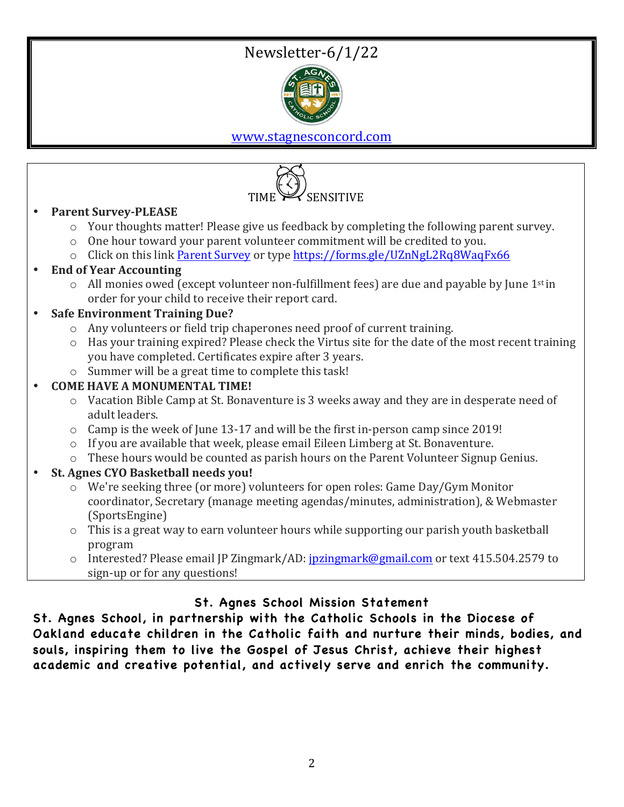# Newsletter-6/1/22



www.stagnesconcord.com



- **Parent Survey-PLEASE** 
	- $\circ$  Your thoughts matter! Please give us feedback by completing the following parent survey.
	- $\circ$  One hour toward your parent volunteer commitment will be credited to you.
	- $\circ$  Click on this link Parent Survey or type https://forms.gle/UZnNgL2Rq8WaqFx66

#### • **End of Year Accounting**

 $\circ$  All monies owed (except volunteer non-fulfillment fees) are due and payable by June 1<sup>st</sup> in order for your child to receive their report card.

#### • **Safe Environment Training Due?**

- $\circ$  Any volunteers or field trip chaperones need proof of current training.
- $\circ$  Has your training expired? Please check the Virtus site for the date of the most recent training you have completed. Certificates expire after 3 years.
- $\circ$  Summer will be a great time to complete this task!

#### **COME HAVE A MONUMENTAL TIME!**

- $\circ$  Vacation Bible Camp at St. Bonaventure is 3 weeks away and they are in desperate need of adult leaders.
- $\circ$  Camp is the week of June 13-17 and will be the first in-person camp since 2019!
- $\circ$  If you are available that week, please email Eileen Limberg at St. Bonaventure.
- $\circ$  These hours would be counted as parish hours on the Parent Volunteer Signup Genius.

#### **St. Agnes CYO Basketball needs you!**

- $\circ$  We're seeking three (or more) volunteers for open roles: Game Day/Gym Monitor coordinator, Secretary (manage meeting agendas/minutes, administration), & Webmaster (SportsEngine)
- $\circ$  This is a great way to earn volunteer hours while supporting our parish youth basketball program
- $\circ$  Interested? Please email IP Zingmark/AD: jpzingmark@gmail.com or text 415.504.2579 to sign-up or for any questions!

#### **St. Agnes School Mission Statement**

**St. Agnes School, in partnership with the Catholic Schools in the Diocese of Oakland educate children in the Catholic faith and nurture their minds, bodies, and souls, inspiring them to live the Gospel of Jesus Christ, achieve their highest academic and creative potential, and actively serve and enrich the community.**